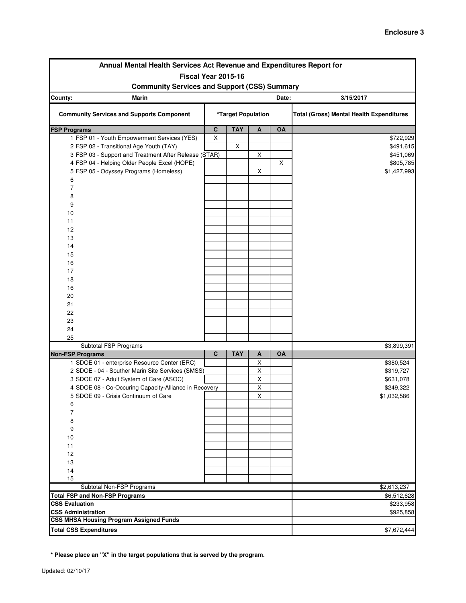| Annual Mental Health Services Act Revenue and Expenditures Report for |             |                    |             |           |                                                 |  |  |
|-----------------------------------------------------------------------|-------------|--------------------|-------------|-----------|-------------------------------------------------|--|--|
| Fiscal Year 2015-16                                                   |             |                    |             |           |                                                 |  |  |
| <b>Community Services and Support (CSS) Summary</b>                   |             |                    |             |           |                                                 |  |  |
| County:<br><b>Marin</b><br>Date:<br>3/15/2017                         |             |                    |             |           |                                                 |  |  |
| <b>Community Services and Supports Component</b>                      |             | *Target Population |             |           | <b>Total (Gross) Mental Health Expenditures</b> |  |  |
| <b>FSP Programs</b>                                                   | $\mathbf c$ | <b>TAY</b>         | Α           | OA        |                                                 |  |  |
| 1 FSP 01 - Youth Empowerment Services (YES)                           | $\sf X$     |                    |             |           | \$722,929                                       |  |  |
| 2 FSP 02 - Transitional Age Youth (TAY)                               |             | X                  |             |           | \$491,615                                       |  |  |
| 3 FSP 03 - Support and Treatment After Release (STAR)                 |             |                    | X           |           | \$451,069                                       |  |  |
| 4 FSP 04 - Helping Older People Excel (HOPE)                          |             |                    |             | X         | \$805,785                                       |  |  |
| 5 FSP 05 - Odyssey Programs (Homeless)                                |             |                    | X           |           | \$1,427,993                                     |  |  |
| 6                                                                     |             |                    |             |           |                                                 |  |  |
| $\overline{7}$                                                        |             |                    |             |           |                                                 |  |  |
| 8                                                                     |             |                    |             |           |                                                 |  |  |
| 9                                                                     |             |                    |             |           |                                                 |  |  |
| 10                                                                    |             |                    |             |           |                                                 |  |  |
| 11                                                                    |             |                    |             |           |                                                 |  |  |
| 12                                                                    |             |                    |             |           |                                                 |  |  |
| 13                                                                    |             |                    |             |           |                                                 |  |  |
| 14                                                                    |             |                    |             |           |                                                 |  |  |
| 15                                                                    |             |                    |             |           |                                                 |  |  |
| 16                                                                    |             |                    |             |           |                                                 |  |  |
| 17                                                                    |             |                    |             |           |                                                 |  |  |
| 18                                                                    |             |                    |             |           |                                                 |  |  |
| 16                                                                    |             |                    |             |           |                                                 |  |  |
| 20                                                                    |             |                    |             |           |                                                 |  |  |
| 21                                                                    |             |                    |             |           |                                                 |  |  |
| 22                                                                    |             |                    |             |           |                                                 |  |  |
| 23                                                                    |             |                    |             |           |                                                 |  |  |
| 24                                                                    |             |                    |             |           |                                                 |  |  |
| 25                                                                    |             |                    |             |           |                                                 |  |  |
| Subtotal FSP Programs<br><b>Non-FSP Programs</b>                      | $\mathbf c$ | <b>TAY</b>         | Α           | <b>OA</b> | \$3,899,391                                     |  |  |
| 1 SDOE 01 - enterprise Resource Center (ERC)                          |             |                    | Χ           |           | \$380,524                                       |  |  |
| 2 SDOE - 04 - Souther Marin Site Services (SMSS)                      |             |                    | Χ           |           | \$319,727                                       |  |  |
| 3 SDOE 07 - Adult System of Care (ASOC)                               |             |                    | Χ           |           | \$631,078                                       |  |  |
| 4 SDOE 08 - Co-Occuring Capacity-Alliance in Recovery                 |             |                    | $\mathsf X$ |           | \$249,322                                       |  |  |
| 5 SDOE 09 - Crisis Continuum of Care                                  |             |                    | X           |           | \$1,032,586                                     |  |  |
| 6                                                                     |             |                    |             |           |                                                 |  |  |
| 7                                                                     |             |                    |             |           |                                                 |  |  |
| 8                                                                     |             |                    |             |           |                                                 |  |  |
| 9                                                                     |             |                    |             |           |                                                 |  |  |
| 10                                                                    |             |                    |             |           |                                                 |  |  |
| 11                                                                    |             |                    |             |           |                                                 |  |  |
| 12                                                                    |             |                    |             |           |                                                 |  |  |
| 13                                                                    |             |                    |             |           |                                                 |  |  |
| 14                                                                    |             |                    |             |           |                                                 |  |  |
| 15                                                                    |             |                    |             |           |                                                 |  |  |
| Subtotal Non-FSP Programs                                             |             |                    |             |           | \$2,613,237                                     |  |  |
| <b>Total FSP and Non-FSP Programs</b>                                 |             |                    |             |           | \$6,512,628                                     |  |  |
| <b>CSS Evaluation</b>                                                 |             |                    |             |           | \$233,958                                       |  |  |
| <b>CSS Administration</b>                                             |             |                    |             |           | \$925,858                                       |  |  |
| <b>CSS MHSA Housing Program Assigned Funds</b>                        |             |                    |             |           |                                                 |  |  |
| <b>Total CSS Expenditures</b>                                         |             |                    |             |           | \$7,672,444                                     |  |  |

**\* Please place an "X" in the target populations that is served by the program.**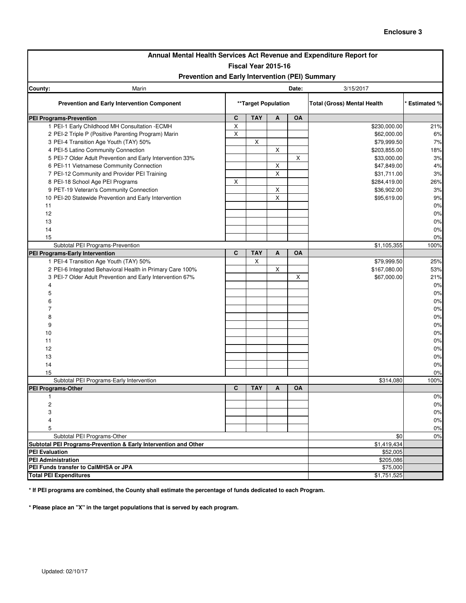| Annual Mental Health Services Act Revenue and Expenditure Report for                           |                |                     |    |           |                                    |                    |  |
|------------------------------------------------------------------------------------------------|----------------|---------------------|----|-----------|------------------------------------|--------------------|--|
| Fiscal Year 2015-16                                                                            |                |                     |    |           |                                    |                    |  |
| Prevention and Early Intervention (PEI) Summary                                                |                |                     |    |           |                                    |                    |  |
| County:<br>Marin                                                                               | Date:          |                     |    |           |                                    |                    |  |
| <b>Prevention and Early Intervention Component</b>                                             |                | **Target Population |    |           | <b>Total (Gross) Mental Health</b> | <b>Estimated %</b> |  |
| <b>PEI Programs-Prevention</b>                                                                 | $\mathbf{C}$   | <b>TAY</b>          | A  | OA        |                                    |                    |  |
| 1 PEI-1 Early Childhood MH Consultation - ECMH                                                 | $\pmb{\times}$ |                     |    |           | \$230,000.00                       | 21%                |  |
| 2 PEI-2 Triple P (Positive Parenting Program) Marin                                            | $\pmb{\times}$ |                     |    |           | \$62,000.00                        | 6%                 |  |
| 3 PEI-4 Transition Age Youth (TAY) 50%                                                         |                | X                   |    |           | \$79,999.50                        | 7%                 |  |
| 4 PEI-5 Latino Community Connection                                                            |                |                     | X  |           | \$203,855.00                       | 18%                |  |
| 5 PEI-7 Older Adult Prevention and Early Intervention 33%                                      |                |                     |    | X         | \$33,000.00                        | 3%                 |  |
| 6 PEI-11 Vietnamese Community Connection                                                       |                |                     | X  |           | \$47,849.00                        | 4%                 |  |
| 7 PEI-12 Community and Provider PEI Training                                                   |                |                     | X  |           | \$31,711.00                        | 3%                 |  |
| 8 PEI-18 School Age PEI Programs                                                               | X              |                     |    |           | \$284,419.00                       | 26%                |  |
| 9 PET-19 Veteran's Community Connection                                                        |                |                     | X  |           | \$36,902.00                        | 3%                 |  |
| 10 PEI-20 Statewide Prevention and Early Intervention                                          |                |                     | X  |           | \$95,619.00                        | 9%                 |  |
| 11                                                                                             |                |                     |    |           |                                    | 0%                 |  |
| 12                                                                                             |                |                     |    |           |                                    | 0%                 |  |
| 13                                                                                             |                |                     |    |           |                                    | 0%                 |  |
| 14                                                                                             |                |                     |    |           |                                    | 0%                 |  |
| 15                                                                                             |                |                     |    |           |                                    | 0%                 |  |
| Subtotal PEI Programs-Prevention                                                               |                |                     |    |           | \$1,105,355                        | 100%               |  |
| PEI Programs-Early Intervention                                                                | $\mathbf{C}$   | <b>TAY</b>          | A  | <b>OA</b> |                                    |                    |  |
| 1 PEI-4 Transition Age Youth (TAY) 50%                                                         |                | X                   |    |           | \$79,999.50                        | 25%                |  |
| 2 PEI-6 Integrated Behavioral Health in Primary Care 100%                                      |                |                     | X  |           | \$167,080.00                       | 53%                |  |
| 3 PEI-7 Older Adult Prevention and Early Intervention 67%                                      |                |                     |    | х         | \$67,000.00                        | 21%                |  |
| 4                                                                                              |                |                     |    |           |                                    | 0%                 |  |
| 5                                                                                              |                |                     |    |           |                                    | 0%                 |  |
| 6                                                                                              |                |                     |    |           |                                    | 0%                 |  |
| 7                                                                                              |                |                     |    |           |                                    | 0%                 |  |
| 8                                                                                              |                |                     |    |           |                                    | $0\%$              |  |
| 9                                                                                              |                |                     |    |           |                                    | 0%                 |  |
| 10                                                                                             |                |                     |    |           |                                    |                    |  |
|                                                                                                |                |                     |    |           |                                    | 0%                 |  |
| 11                                                                                             |                |                     |    |           |                                    | 0%                 |  |
| 12                                                                                             |                |                     |    |           |                                    | $0\%$              |  |
| 13                                                                                             |                |                     |    |           |                                    | 0%                 |  |
| 14                                                                                             |                |                     |    |           |                                    | 0%                 |  |
| 15                                                                                             |                |                     |    |           |                                    | 0%                 |  |
| Subtotal PEI Programs-Early Intervention<br>PEI Programs-Other                                 | C              | <b>TAY</b>          | A  | <b>OA</b> | \$314,080                          | 100%               |  |
| 1                                                                                              |                |                     |    |           |                                    | 0%                 |  |
| 2                                                                                              |                |                     |    |           |                                    | $0\%$              |  |
|                                                                                                |                |                     |    |           |                                    |                    |  |
| 3<br>4                                                                                         |                |                     |    |           |                                    | 0%<br>0%           |  |
|                                                                                                |                |                     |    |           |                                    |                    |  |
| 5                                                                                              |                | \$0                 | 0% |           |                                    |                    |  |
| Subtotal PEI Programs-Other<br>Subtotal PEI Programs-Prevention & Early Intervention and Other |                | \$1,419,434         | 0% |           |                                    |                    |  |
| <b>PEI Evaluation</b>                                                                          |                |                     |    |           | \$52,005                           |                    |  |
| <b>PEI Administration</b>                                                                      |                |                     |    |           | \$205,086                          |                    |  |
| PEI Funds transfer to CalMHSA or JPA                                                           |                |                     |    |           | \$75,000                           |                    |  |
| <b>Total PEI Expenditures</b>                                                                  |                |                     |    |           | \$1,751,525                        |                    |  |

**\* If PEI programs are combined, the County shall estimate the percentage of funds dedicated to each Program.**

**\* Please place an "X" in the target populations that is served by each program.**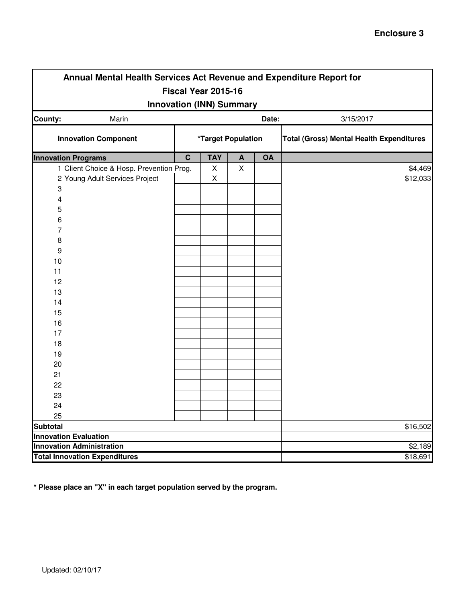| Annual Mental Health Services Act Revenue and Expenditure Report for |                    |            |                  |       |                                                 |  |  |  |  |
|----------------------------------------------------------------------|--------------------|------------|------------------|-------|-------------------------------------------------|--|--|--|--|
| Fiscal Year 2015-16                                                  |                    |            |                  |       |                                                 |  |  |  |  |
| <b>Innovation (INN) Summary</b>                                      |                    |            |                  |       |                                                 |  |  |  |  |
| Marin<br>County:                                                     |                    |            |                  | Date: | 3/15/2017                                       |  |  |  |  |
| <b>Innovation Component</b>                                          | *Target Population |            |                  |       | <b>Total (Gross) Mental Health Expenditures</b> |  |  |  |  |
| <b>Innovation Programs</b>                                           | $\overline{c}$     | <b>TAY</b> | $\boldsymbol{A}$ | OA    |                                                 |  |  |  |  |
| 1 Client Choice & Hosp. Prevention Prog.                             |                    | X          | $\mathsf{X}$     |       | \$4,469                                         |  |  |  |  |
| 2 Young Adult Services Project                                       |                    | X          |                  |       | \$12,033                                        |  |  |  |  |
| 3                                                                    |                    |            |                  |       |                                                 |  |  |  |  |
| 4                                                                    |                    |            |                  |       |                                                 |  |  |  |  |
| 5                                                                    |                    |            |                  |       |                                                 |  |  |  |  |
| 6                                                                    |                    |            |                  |       |                                                 |  |  |  |  |
| 7                                                                    |                    |            |                  |       |                                                 |  |  |  |  |
| 8                                                                    |                    |            |                  |       |                                                 |  |  |  |  |
| 9                                                                    |                    |            |                  |       |                                                 |  |  |  |  |
| 10                                                                   |                    |            |                  |       |                                                 |  |  |  |  |
| 11                                                                   |                    |            |                  |       |                                                 |  |  |  |  |
| 12                                                                   |                    |            |                  |       |                                                 |  |  |  |  |
| 13                                                                   |                    |            |                  |       |                                                 |  |  |  |  |
| 14                                                                   |                    |            |                  |       |                                                 |  |  |  |  |
| 15                                                                   |                    |            |                  |       |                                                 |  |  |  |  |
| 16                                                                   |                    |            |                  |       |                                                 |  |  |  |  |
| 17                                                                   |                    |            |                  |       |                                                 |  |  |  |  |
| 18                                                                   |                    |            |                  |       |                                                 |  |  |  |  |
| 19                                                                   |                    |            |                  |       |                                                 |  |  |  |  |
| 20                                                                   |                    |            |                  |       |                                                 |  |  |  |  |
| 21                                                                   |                    |            |                  |       |                                                 |  |  |  |  |
| 22                                                                   |                    |            |                  |       |                                                 |  |  |  |  |
| 23                                                                   |                    |            |                  |       |                                                 |  |  |  |  |
| 24                                                                   |                    |            |                  |       |                                                 |  |  |  |  |
| 25                                                                   |                    |            |                  |       |                                                 |  |  |  |  |
| <b>Subtotal</b>                                                      |                    |            |                  |       | \$16,502                                        |  |  |  |  |
| <b>Innovation Evaluation</b>                                         |                    |            |                  |       |                                                 |  |  |  |  |
| <b>Innovation Administration</b>                                     |                    |            |                  |       | \$2,189                                         |  |  |  |  |
| <b>Total Innovation Expenditures</b>                                 | \$18,691           |            |                  |       |                                                 |  |  |  |  |

**\* Please place an "X" in each target population served by the program.**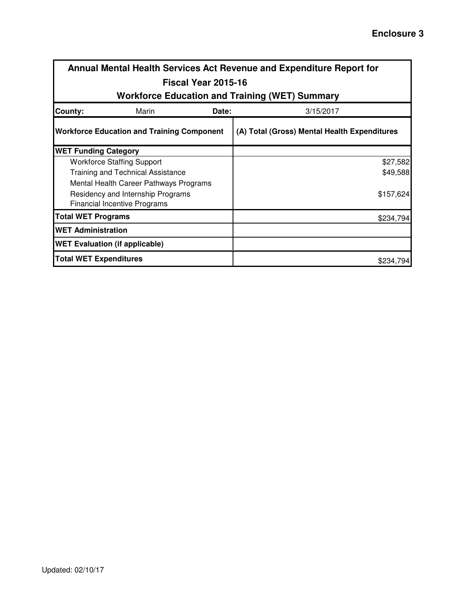|                               | Annual Mental Health Services Act Revenue and Expenditure Report for |                     |                                                       |           |  |  |  |
|-------------------------------|----------------------------------------------------------------------|---------------------|-------------------------------------------------------|-----------|--|--|--|
|                               |                                                                      | Fiscal Year 2015-16 |                                                       |           |  |  |  |
|                               |                                                                      |                     | <b>Workforce Education and Training (WET) Summary</b> |           |  |  |  |
| County:                       | Marin                                                                | Date:<br>3/15/2017  |                                                       |           |  |  |  |
|                               | <b>Workforce Education and Training Component</b>                    |                     | (A) Total (Gross) Mental Health Expenditures          |           |  |  |  |
| <b>WET Funding Category</b>   |                                                                      |                     |                                                       |           |  |  |  |
|                               | <b>Workforce Staffing Support</b>                                    |                     |                                                       | \$27,582  |  |  |  |
|                               | <b>Training and Technical Assistance</b>                             |                     |                                                       | \$49,588  |  |  |  |
|                               | Mental Health Career Pathways Programs                               |                     |                                                       |           |  |  |  |
|                               | Residency and Internship Programs                                    |                     |                                                       | \$157,624 |  |  |  |
|                               | <b>Financial Incentive Programs</b>                                  |                     |                                                       |           |  |  |  |
| <b>Total WET Programs</b>     |                                                                      |                     |                                                       | \$234,794 |  |  |  |
| <b>WET Administration</b>     |                                                                      |                     |                                                       |           |  |  |  |
|                               | <b>WET Evaluation (if applicable)</b>                                |                     |                                                       |           |  |  |  |
| <b>Total WET Expenditures</b> |                                                                      |                     |                                                       | \$234,794 |  |  |  |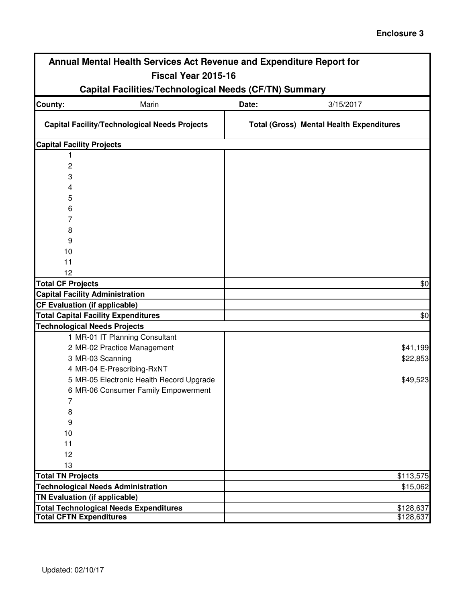## **Enclosure 3**

| Annual Mental Health Services Act Revenue and Expenditure Report for |                                                 |  |  |  |  |  |  |  |
|----------------------------------------------------------------------|-------------------------------------------------|--|--|--|--|--|--|--|
| Fiscal Year 2015-16                                                  |                                                 |  |  |  |  |  |  |  |
| <b>Capital Facilities/Technological Needs (CF/TN) Summary</b>        |                                                 |  |  |  |  |  |  |  |
| Marin<br>County:                                                     | Date:<br>3/15/2017                              |  |  |  |  |  |  |  |
| <b>Capital Facility/Technological Needs Projects</b>                 | <b>Total (Gross) Mental Health Expenditures</b> |  |  |  |  |  |  |  |
| <b>Capital Facility Projects</b>                                     |                                                 |  |  |  |  |  |  |  |
| 1                                                                    |                                                 |  |  |  |  |  |  |  |
| 2                                                                    |                                                 |  |  |  |  |  |  |  |
| 3                                                                    |                                                 |  |  |  |  |  |  |  |
| 4                                                                    |                                                 |  |  |  |  |  |  |  |
| 5                                                                    |                                                 |  |  |  |  |  |  |  |
| 6                                                                    |                                                 |  |  |  |  |  |  |  |
| 7                                                                    |                                                 |  |  |  |  |  |  |  |
| 8                                                                    |                                                 |  |  |  |  |  |  |  |
| 9                                                                    |                                                 |  |  |  |  |  |  |  |
| 10                                                                   |                                                 |  |  |  |  |  |  |  |
| 11                                                                   |                                                 |  |  |  |  |  |  |  |
| 12                                                                   |                                                 |  |  |  |  |  |  |  |
| <b>Total CF Projects</b><br><b>Capital Facility Administration</b>   | \$0                                             |  |  |  |  |  |  |  |
| <b>CF Evaluation (if applicable)</b>                                 |                                                 |  |  |  |  |  |  |  |
| <b>Total Capital Facility Expenditures</b>                           | \$0                                             |  |  |  |  |  |  |  |
| <b>Technological Needs Projects</b>                                  |                                                 |  |  |  |  |  |  |  |
| 1 MR-01 IT Planning Consultant                                       |                                                 |  |  |  |  |  |  |  |
| 2 MR-02 Practice Management                                          | \$41,199                                        |  |  |  |  |  |  |  |
| 3 MR-03 Scanning                                                     | \$22,853                                        |  |  |  |  |  |  |  |
| 4 MR-04 E-Prescribing-RxNT                                           |                                                 |  |  |  |  |  |  |  |
| 5 MR-05 Electronic Health Record Upgrade                             | \$49,523                                        |  |  |  |  |  |  |  |
| 6 MR-06 Consumer Family Empowerment                                  |                                                 |  |  |  |  |  |  |  |
| 7                                                                    |                                                 |  |  |  |  |  |  |  |
| 8                                                                    |                                                 |  |  |  |  |  |  |  |
| 9                                                                    |                                                 |  |  |  |  |  |  |  |
| 10                                                                   |                                                 |  |  |  |  |  |  |  |
| 11                                                                   |                                                 |  |  |  |  |  |  |  |
| 12                                                                   |                                                 |  |  |  |  |  |  |  |
| 13                                                                   |                                                 |  |  |  |  |  |  |  |
| <b>Total TN Projects</b>                                             | \$113,575                                       |  |  |  |  |  |  |  |
| <b>Technological Needs Administration</b>                            | \$15,062                                        |  |  |  |  |  |  |  |
| TN Evaluation (if applicable)                                        |                                                 |  |  |  |  |  |  |  |
| <b>Total Technological Needs Expenditures</b>                        | \$128,637                                       |  |  |  |  |  |  |  |
| <b>Total CFTN Expenditures</b>                                       | \$128,637                                       |  |  |  |  |  |  |  |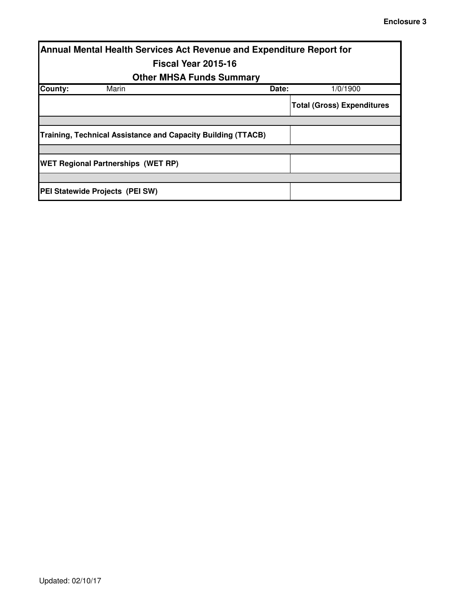| Annual Mental Health Services Act Revenue and Expenditure Report for |                                           |                                                              |       |                                   |  |  |  |  |  |
|----------------------------------------------------------------------|-------------------------------------------|--------------------------------------------------------------|-------|-----------------------------------|--|--|--|--|--|
|                                                                      |                                           | Fiscal Year 2015-16                                          |       |                                   |  |  |  |  |  |
|                                                                      | <b>Other MHSA Funds Summary</b>           |                                                              |       |                                   |  |  |  |  |  |
| County:                                                              | Marin                                     |                                                              | Date: | 1/0/1900                          |  |  |  |  |  |
|                                                                      |                                           |                                                              |       | <b>Total (Gross) Expenditures</b> |  |  |  |  |  |
|                                                                      |                                           |                                                              |       |                                   |  |  |  |  |  |
|                                                                      |                                           | Training, Technical Assistance and Capacity Building (TTACB) |       |                                   |  |  |  |  |  |
|                                                                      |                                           |                                                              |       |                                   |  |  |  |  |  |
|                                                                      | <b>WET Regional Partnerships (WET RP)</b> |                                                              |       |                                   |  |  |  |  |  |
|                                                                      |                                           |                                                              |       |                                   |  |  |  |  |  |
|                                                                      | PEI Statewide Projects (PEI SW)           |                                                              |       |                                   |  |  |  |  |  |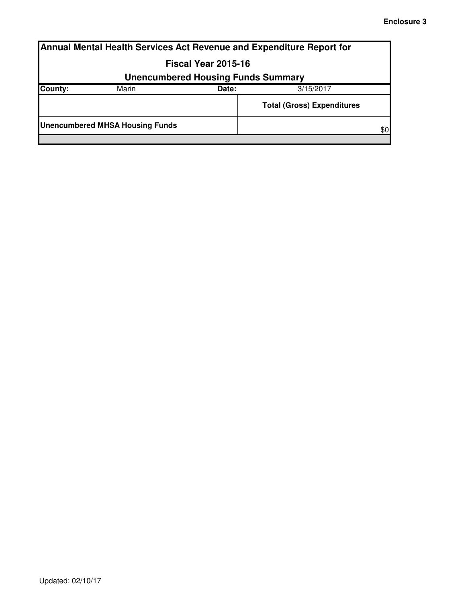|                                           | Annual Mental Health Services Act Revenue and Expenditure Report for |       |                                   |     |  |  |  |  |
|-------------------------------------------|----------------------------------------------------------------------|-------|-----------------------------------|-----|--|--|--|--|
|                                           | Fiscal Year 2015-16                                                  |       |                                   |     |  |  |  |  |
| <b>Unencumbered Housing Funds Summary</b> |                                                                      |       |                                   |     |  |  |  |  |
| County:                                   | Marin                                                                | Date: | 3/15/2017                         |     |  |  |  |  |
|                                           |                                                                      |       | <b>Total (Gross) Expenditures</b> |     |  |  |  |  |
|                                           | <b>Unencumbered MHSA Housing Funds</b>                               |       |                                   | \$0 |  |  |  |  |
|                                           |                                                                      |       |                                   |     |  |  |  |  |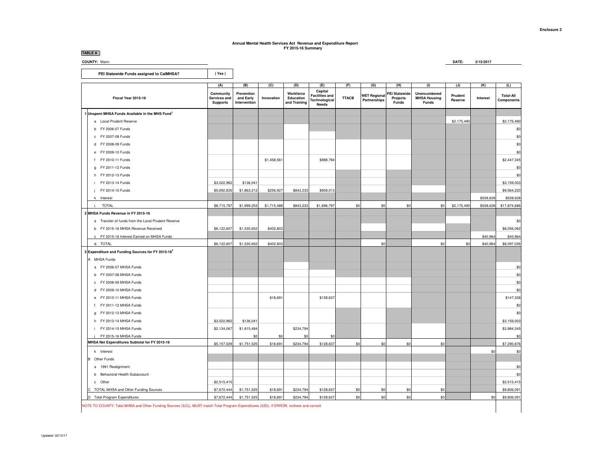### **Annual Mental Health Services Act Revenue and Expenditure Report FY 2015-16 Summary**

**TABLE ACOUNTY:** Marin

# **DATE: 3/15/2017**

 **PEI Statewide Funds assigned to CalMHSA?** 

(Yes)

|                                                    | (A)                                          | (B)                                     | (C)         | (D)                                    | (E)                                                        | (F)          | (G)                                 | (H)                                              | (1)                                                 | (J)                | (K)       | (L)                                   |
|----------------------------------------------------|----------------------------------------------|-----------------------------------------|-------------|----------------------------------------|------------------------------------------------------------|--------------|-------------------------------------|--------------------------------------------------|-----------------------------------------------------|--------------------|-----------|---------------------------------------|
| Fiscal Year 2015-16                                | Community<br>Services and<br><b>Supports</b> | Prevention<br>and Early<br>Intervention | Innovation  | Workforce<br>Education<br>and Training | Capital<br><b>Facilities and</b><br>Technological<br>Needs | <b>TTACB</b> | <b>WET Regional</b><br>Partnerships | <b>PEI Statewide</b><br>Projects<br><b>Funds</b> | <b>Unencumbered</b><br><b>MHSA Housing</b><br>Funds | Prudent<br>Reserve | Interest  | <b>Total-All</b><br><b>Components</b> |
| 1 Unspent MHSA Funds Available in the MHS Fund1    |                                              |                                         |             |                                        |                                                            |              |                                     |                                                  |                                                     |                    |           |                                       |
| a Local Prudent Reserve                            |                                              |                                         |             |                                        |                                                            |              |                                     |                                                  |                                                     | \$2,175,490        |           | \$2,175,490                           |
| b FY 2006-07 Funds                                 |                                              |                                         |             |                                        |                                                            |              |                                     |                                                  |                                                     |                    |           | \$0                                   |
| c FY 2007-08 Funds                                 |                                              |                                         |             |                                        |                                                            |              |                                     |                                                  |                                                     |                    |           | \$0                                   |
| d FY 2008-09 Funds                                 |                                              |                                         |             |                                        |                                                            |              |                                     |                                                  |                                                     |                    |           | \$0                                   |
| e FY 2009-10 Funds                                 |                                              |                                         |             |                                        |                                                            |              |                                     |                                                  |                                                     |                    |           | \$0                                   |
| FY 2010-11 Funds<br>f                              |                                              |                                         | \$1,458,561 |                                        | \$988,784                                                  |              |                                     |                                                  |                                                     |                    |           | \$2,447,345                           |
| g FY 2011-12 Funds                                 |                                              |                                         |             |                                        |                                                            |              |                                     |                                                  |                                                     |                    |           | \$0                                   |
| h FY 2012-13 Funds                                 |                                              |                                         |             |                                        |                                                            |              |                                     |                                                  |                                                     |                    |           | \$0                                   |
| FY 2013-14 Funds                                   | \$3,022,962                                  | \$136,041                               |             |                                        |                                                            |              |                                     |                                                  |                                                     |                    |           | \$3,159,003                           |
| FY 2014-15 Funds                                   | \$5,692,835                                  | \$1,863,212                             | \$256,927   | \$843,233                              | \$908,013                                                  |              |                                     |                                                  |                                                     |                    |           | \$9,564,220                           |
| k Interest                                         |                                              |                                         |             |                                        |                                                            |              |                                     |                                                  |                                                     |                    | \$528,628 | \$528,628                             |
| <b>TOTAL</b><br>$\mathbb{L}$                       | \$8,715,797                                  | \$1,999,253                             | \$1,715,488 | \$843,233                              | \$1,896,797                                                | \$0          | \$0                                 | \$0                                              | \$0                                                 | \$2,175,490        | \$528,628 | \$17,874,686                          |
| 2 MHSA Funds Revenue in FY 2015-16                 |                                              |                                         |             |                                        |                                                            |              |                                     |                                                  |                                                     |                    |           |                                       |
| a Transfer of funds from the Local Prudent Reserve |                                              |                                         |             |                                        |                                                            |              |                                     |                                                  |                                                     |                    |           | \$0                                   |
| b FY 2015-16 MHSA Revenue Received                 | \$6,122,607                                  | \$1,530,652                             | \$402,803   |                                        |                                                            |              |                                     |                                                  |                                                     |                    |           | \$8,056,062                           |
| c FY 2015-16 Interest Earned on MHSA Funds         |                                              |                                         |             |                                        |                                                            |              |                                     |                                                  |                                                     |                    | \$40,964  | \$40,964                              |
| d. TOTAL                                           | \$6,122,607                                  | \$1,530,652                             | \$402,803   |                                        |                                                            |              | \$0                                 |                                                  | \$0                                                 | \$0                | \$40,964  | \$8,097,026                           |
| 3 Expenditure and Funding Sources for FY 2015-162  |                                              |                                         |             |                                        |                                                            |              |                                     |                                                  |                                                     |                    |           |                                       |
| A MHSA Funds                                       |                                              |                                         |             |                                        |                                                            |              |                                     |                                                  |                                                     |                    |           |                                       |
| a FY 2006-07 MHSA Funds                            |                                              |                                         |             |                                        |                                                            |              |                                     |                                                  |                                                     |                    |           | \$0                                   |
| b FY 2007-08 MHSA Funds                            |                                              |                                         |             |                                        |                                                            |              |                                     |                                                  |                                                     |                    |           | \$0                                   |
| c FY 2008-09 MHSA Funds                            |                                              |                                         |             |                                        |                                                            |              |                                     |                                                  |                                                     |                    |           | \$0                                   |
| d FY 2009-10 MHSA Funds                            |                                              |                                         |             |                                        |                                                            |              |                                     |                                                  |                                                     |                    |           | \$0                                   |
| e FY 2010-11 MHSA Funds                            |                                              |                                         | \$18,691    |                                        | \$128,637                                                  |              |                                     |                                                  |                                                     |                    |           | \$147,328                             |
| f FY 2011-12 MHSA Funds                            |                                              |                                         |             |                                        |                                                            |              |                                     |                                                  |                                                     |                    |           | \$0                                   |
| g FY 2012-13 MHSA Funds                            |                                              |                                         |             |                                        |                                                            |              |                                     |                                                  |                                                     |                    |           | \$0                                   |
| h FY 2013-14 MHSA Funds                            | \$3,022,962                                  | \$136,041                               |             |                                        |                                                            |              |                                     |                                                  |                                                     |                    |           | \$3,159,003                           |
| FY 2014-15 MHSA Funds                              | \$2,134,067                                  | \$1,615,484                             |             | \$234,794                              |                                                            |              |                                     |                                                  |                                                     |                    |           | \$3,984,345                           |
| FY 2015-16 MHSA Funds                              |                                              | \$0                                     | \$0         | \$0                                    | \$0                                                        |              |                                     |                                                  |                                                     |                    |           | \$0                                   |
| MHSA Net Expenditures Subtotal for FY 2015-16      | \$5,157,029                                  | \$1,751,525                             | \$18,691    | \$234,794                              | \$128,637                                                  | \$0          | \$0                                 | \$0                                              | \$0                                                 |                    |           | \$7,290,676                           |
| k Interest                                         |                                              |                                         |             |                                        |                                                            |              |                                     |                                                  |                                                     |                    | \$0       | \$0                                   |
| <b>B</b> Other Funds                               |                                              |                                         |             |                                        |                                                            |              |                                     |                                                  |                                                     |                    |           |                                       |
| a 1991 Realignment                                 |                                              |                                         |             |                                        |                                                            |              |                                     |                                                  |                                                     |                    |           | \$0                                   |
| b Behavioral Health Subaccount                     |                                              |                                         |             |                                        |                                                            |              |                                     |                                                  |                                                     |                    |           | \$0                                   |
| c Other                                            | \$2,515,415                                  |                                         |             |                                        |                                                            |              |                                     |                                                  |                                                     |                    |           | \$2,515,415                           |
| TOTAL MHSA and Other Funding Sources               | \$7,672,444                                  | \$1,751,525                             | \$18,691    | \$234,794                              | \$128,637                                                  | \$0          | \$0                                 | \$0                                              | \$0                                                 |                    |           | \$9,806,091                           |
| D Total Program Expenditures                       | \$7,672,444                                  | \$1,751,525                             | \$18,691    | \$234,794                              | \$128,637                                                  | \$0          | \$0                                 | \$0                                              | \$0                                                 |                    | \$0       | \$9,806,091                           |
|                                                    |                                              |                                         |             |                                        |                                                            |              |                                     |                                                  |                                                     |                    |           |                                       |

NOTE TO COUNTY: Total MHSA and Other Funding Sources (3(C)), MUST match Total Program Expenditures (3(D)). If ERROR, recheck and correct.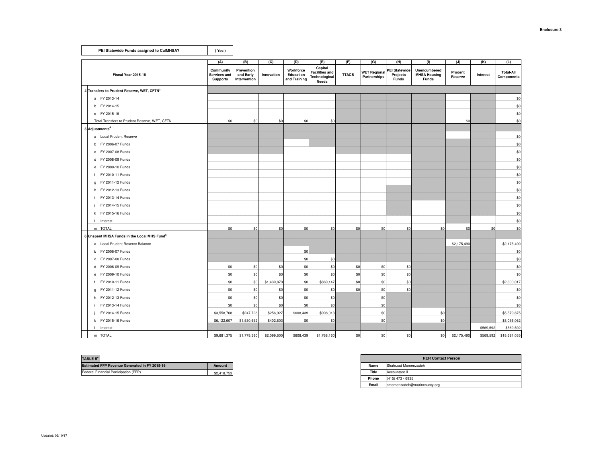| PEI Statewide Funds assigned to CalMHSA?                | (Yes)                                        |                                         |             |                                        |                                                                   |              |                                     |                                                  |                                                     |                    |           |                                |
|---------------------------------------------------------|----------------------------------------------|-----------------------------------------|-------------|----------------------------------------|-------------------------------------------------------------------|--------------|-------------------------------------|--------------------------------------------------|-----------------------------------------------------|--------------------|-----------|--------------------------------|
|                                                         | (A)                                          | (B)                                     | (C)         | (D)                                    | (E)                                                               | (F)          | (G)                                 | (H)                                              | (1)                                                 | $\overline{u}$     | (K)       | (L)                            |
| Fiscal Year 2015-16                                     | Community<br>Services and<br><b>Supports</b> | Prevention<br>and Early<br>Intervention | Innovation  | Workforce<br>Education<br>and Training | Capital<br><b>Facilities and</b><br>Technological<br><b>Needs</b> | <b>TTACB</b> | <b>WET Regional</b><br>Partnerships | <b>PEI Statewide</b><br>Projects<br><b>Funds</b> | Unencumbered<br><b>MHSA Housing</b><br><b>Funds</b> | Prudent<br>Reserve | Interest  | <b>Total-All</b><br>Components |
| 4 Transfers to Prudent Reserve, WET, CFTN3              |                                              |                                         |             |                                        |                                                                   |              |                                     |                                                  |                                                     |                    |           |                                |
| a FY 2013-14                                            |                                              |                                         |             |                                        |                                                                   |              |                                     |                                                  |                                                     |                    |           | \$0                            |
| b FY 2014-15                                            |                                              |                                         |             |                                        |                                                                   |              |                                     |                                                  |                                                     |                    |           | \$0                            |
| c FY 2015-16                                            |                                              |                                         |             |                                        |                                                                   |              |                                     |                                                  |                                                     |                    |           | \$0                            |
| Total Transfers to Prudent Reserve, WET, CFTN           | \$0                                          | \$0                                     | \$0         | \$0                                    | \$0                                                               |              |                                     |                                                  |                                                     | \$0                |           | \$0                            |
| 5 Adjustments <sup>4</sup>                              |                                              |                                         |             |                                        |                                                                   |              |                                     |                                                  |                                                     |                    |           |                                |
| a Local Prudent Reserve                                 |                                              |                                         |             |                                        |                                                                   |              |                                     |                                                  |                                                     |                    |           | \$0                            |
| b FY 2006-07 Funds                                      |                                              |                                         |             |                                        |                                                                   |              |                                     |                                                  |                                                     |                    |           | \$0                            |
| c FY 2007-08 Funds                                      |                                              |                                         |             |                                        |                                                                   |              |                                     |                                                  |                                                     |                    |           | \$0                            |
| d FY 2008-09 Funds                                      |                                              |                                         |             |                                        |                                                                   |              |                                     |                                                  |                                                     |                    |           | \$0                            |
| e FY 2009-10 Funds                                      |                                              |                                         |             |                                        |                                                                   |              |                                     |                                                  |                                                     |                    |           | \$0                            |
| f FY 2010-11 Funds                                      |                                              |                                         |             |                                        |                                                                   |              |                                     |                                                  |                                                     |                    |           | \$0                            |
| g FY 2011-12 Funds                                      |                                              |                                         |             |                                        |                                                                   |              |                                     |                                                  |                                                     |                    |           | \$0                            |
| h FY 2012-13 Funds                                      |                                              |                                         |             |                                        |                                                                   |              |                                     |                                                  |                                                     |                    |           | \$0                            |
| i FY 2013-14 Funds                                      |                                              |                                         |             |                                        |                                                                   |              |                                     |                                                  |                                                     |                    |           | \$0                            |
| FY 2014-15 Funds                                        |                                              |                                         |             |                                        |                                                                   |              |                                     |                                                  |                                                     |                    |           | \$0                            |
| k FY 2015-16 Funds                                      |                                              |                                         |             |                                        |                                                                   |              |                                     |                                                  |                                                     |                    |           | \$0                            |
| I Interest                                              |                                              |                                         |             |                                        |                                                                   |              |                                     |                                                  |                                                     |                    |           | \$0                            |
| m TOTAL                                                 | \$0                                          | \$0                                     | \$0         | \$0                                    | \$0                                                               | \$0          | \$0                                 | \$0                                              | \$0                                                 | \$0                | \$0       | \$0                            |
| 6 Unspent MHSA Funds in the Local MHS Fund <sup>5</sup> |                                              |                                         |             |                                        |                                                                   |              |                                     |                                                  |                                                     |                    |           |                                |
| a Local Prudent Reserve Balance                         |                                              |                                         |             |                                        |                                                                   |              |                                     |                                                  |                                                     | \$2,175,490        |           | \$2,175,490                    |
| b FY 2006-07 Funds                                      |                                              |                                         |             | \$0                                    |                                                                   |              |                                     |                                                  |                                                     |                    |           | \$0                            |
| c FY 2007-08 Funds                                      |                                              |                                         |             | \$0                                    | \$0                                                               |              |                                     |                                                  |                                                     |                    |           | \$0                            |
| d FY 2008-09 Funds                                      | \$0                                          | \$0                                     | \$0         | \$0                                    | \$0                                                               | \$0          | \$0                                 | \$0                                              |                                                     |                    |           | \$0                            |
| e FY 2009-10 Funds                                      | \$0                                          | \$0                                     | \$0         | \$0                                    | \$0                                                               | \$0          | \$0                                 | \$0                                              |                                                     |                    |           | \$0                            |
| f FY 2010-11 Funds                                      | \$0                                          | \$0                                     | \$1,439,870 | \$0                                    | \$860,147                                                         | \$0          | \$0                                 | \$0                                              |                                                     |                    |           | \$2,300,017                    |
| g FY 2011-12 Funds                                      | \$0                                          | \$0                                     | \$0         | \$0                                    | \$0                                                               | \$0          | \$0                                 | \$0                                              |                                                     |                    |           | \$0                            |
| h FY 2012-13 Funds                                      | \$0                                          | \$0                                     | \$0         | \$0                                    | \$0                                                               |              | \$0                                 |                                                  |                                                     |                    |           | \$0                            |
| i FY 2013-14 Funds                                      | \$0                                          | \$0                                     | \$0         | \$0                                    | \$0                                                               |              | \$0                                 |                                                  |                                                     |                    |           | \$0                            |
| FY 2014-15 Funds                                        | \$3,558,768                                  | \$247,728                               | \$256,927   | \$608,439                              | \$908,013                                                         |              | \$0                                 |                                                  | \$0                                                 |                    |           | \$5,579,875                    |
| k FY 2015-16 Funds                                      | \$6,122,607                                  | \$1,530,652                             | \$402,803   | \$0                                    | \$0                                                               |              | \$0                                 |                                                  | \$0                                                 |                    |           | \$8,056,062                    |
| Interest<br>$\mathbf{I}$                                |                                              |                                         |             |                                        |                                                                   |              |                                     |                                                  |                                                     |                    | \$569,592 | \$569,592                      |
| m TOTAL                                                 | \$9,681,375                                  | \$1,778,380                             | \$2,099,600 | \$608,439                              | \$1,768,160                                                       | \$0          | \$0                                 | \$0                                              | \$0                                                 | \$2,175,490        | \$569,592 | \$18,681,035                   |

| <b>Estimated FFP Revenue Generated In FY 2015-16</b><br>Amount |  |       | <b>RER Contact Person</b> |
|----------------------------------------------------------------|--|-------|---------------------------|
|                                                                |  | Name  | Shahrzad Momenzadeh       |
| \$2,418.753                                                    |  | Title | Accountant II             |

|                           | <b>RER Contact Person</b>   |
|---------------------------|-----------------------------|
| Name                      | Shahrzad Momenzadeh         |
| Title<br>Accountant II    |                             |
| Phone<br>(415) 473 - 6935 |                             |
| Email                     | smomenzadeh@marincounty.org |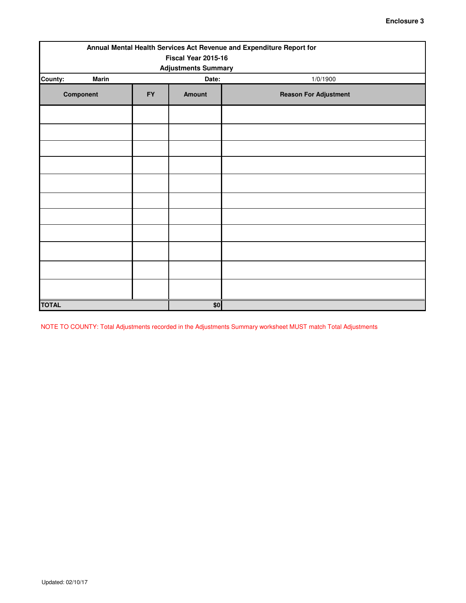| Annual Mental Health Services Act Revenue and Expenditure Report for |           |                        |                              |  |  |  |  |  |  |  |
|----------------------------------------------------------------------|-----------|------------------------|------------------------------|--|--|--|--|--|--|--|
| Fiscal Year 2015-16<br><b>Adjustments Summary</b>                    |           |                        |                              |  |  |  |  |  |  |  |
| <b>Marin</b><br>County:                                              | 1/0/1900  |                        |                              |  |  |  |  |  |  |  |
| Component                                                            | <b>FY</b> | Date:<br><b>Amount</b> | <b>Reason For Adjustment</b> |  |  |  |  |  |  |  |
|                                                                      |           |                        |                              |  |  |  |  |  |  |  |
|                                                                      |           |                        |                              |  |  |  |  |  |  |  |
|                                                                      |           |                        |                              |  |  |  |  |  |  |  |
|                                                                      |           |                        |                              |  |  |  |  |  |  |  |
|                                                                      |           |                        |                              |  |  |  |  |  |  |  |
|                                                                      |           |                        |                              |  |  |  |  |  |  |  |
|                                                                      |           |                        |                              |  |  |  |  |  |  |  |
|                                                                      |           |                        |                              |  |  |  |  |  |  |  |
|                                                                      |           |                        |                              |  |  |  |  |  |  |  |
|                                                                      |           |                        |                              |  |  |  |  |  |  |  |
|                                                                      |           |                        |                              |  |  |  |  |  |  |  |
| <b>TOTAL</b>                                                         |           | \$0                    |                              |  |  |  |  |  |  |  |

NOTE TO COUNTY: Total Adjustments recorded in the Adjustments Summary worksheet MUST match Total Adjustments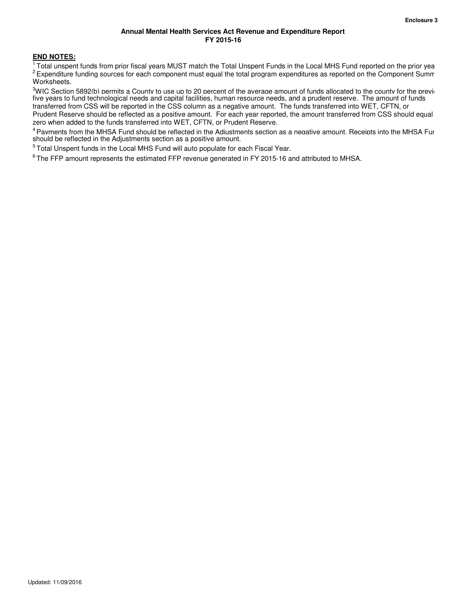### **Annual Mental Health Services Act Revenue and Expenditure Report FY 2015-16**

### **END NOTES:**

<sup>1</sup> Total unspent funds from prior fiscal years MUST match the Total Unspent Funds in the Local MHS Fund reported on the prior yea  $2$  Expenditure funding sources for each component must equal the total program expenditures as reported on the Component Summ Worksheets.

<sup>3</sup>WIC Section 5892(b) permits a County to use up to 20 percent of the average amount of funds allocated to the county for the previ five years to fund technological needs and capital facilities, human resource needs, and a prudent reserve. The amount of funds transferred from CSS will be reported in the CSS column as a negative amount. The funds transferred into WET, CFTN, or Prudent Reserve should be reflected as a positive amount. For each year reported, the amount transferred from CSS should equal zero when added to the funds transferred into WET, CFTN, or Prudent Reserve.

<sup>4</sup> Pavments from the MHSA Fund should be reflected in the Adiustments section as a negative amount. Receipts into the MHSA Fur should be reflected in the Adjustments section as a positive amount.

<sup>5</sup>Total Unspent funds in the Local MHS Fund will auto populate for each Fiscal Year.

 $6$ The FFP amount represents the estimated FFP revenue generated in FY 2015-16 and attributed to MHSA.